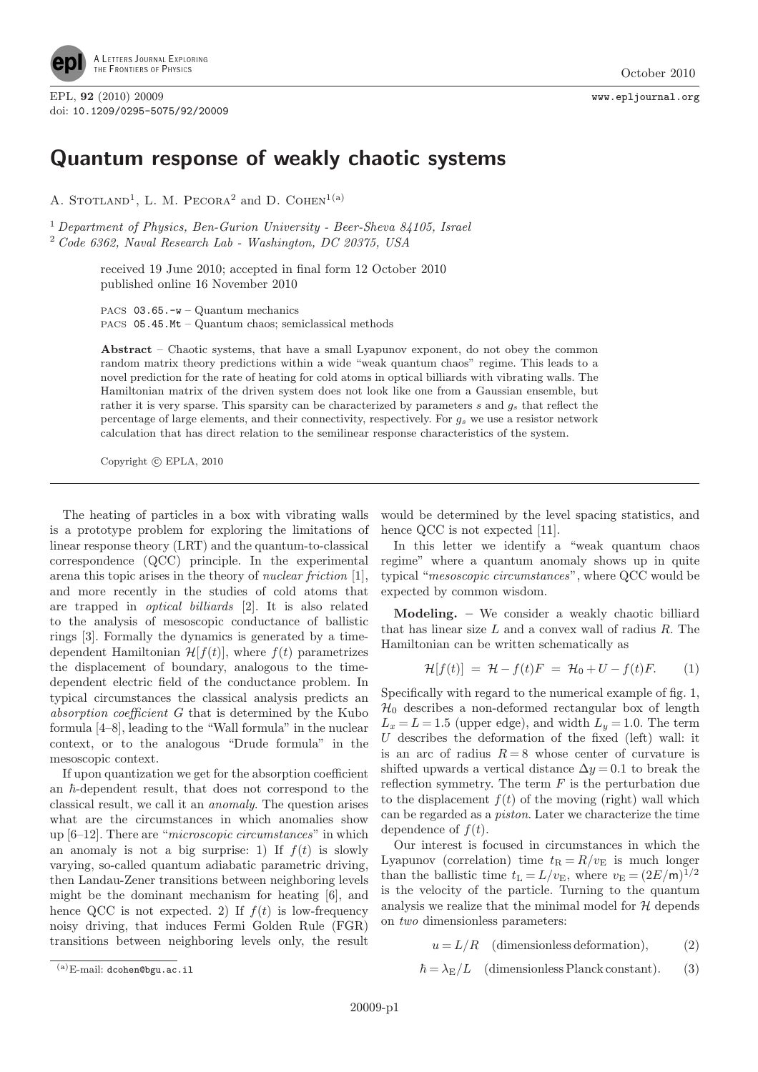

EPL, 92 (2010) 20009 www.epljournal.org doi: 10.1209/0295-5075/92/20009

## Quantum response of weakly chaotic systems

A. STOTLAND<sup>1</sup>, L. M. PECORA<sup>2</sup> and D. COHEN<sup>1(a)</sup>

<sup>1</sup> Department of Physics, Ben-Gurion University - Beer-Sheva 84105, Israel <sup>2</sup> Code 6362, Naval Research Lab - Washington, DC 20375, USA

> received 19 June 2010; accepted in final form 12 October 2010 published online 16 November 2010

PACS 03.65.-w – Quantum mechanics PACS 05.45.Mt – Quantum chaos; semiclassical methods

Abstract – Chaotic systems, that have a small Lyapunov exponent, do not obey the common random matrix theory predictions within a wide "weak quantum chaos" regime. This leads to a novel prediction for the rate of heating for cold atoms in optical billiards with vibrating walls. The Hamiltonian matrix of the driven system does not look like one from a Gaussian ensemble, but rather it is very sparse. This sparsity can be characterized by parameters  $s$  and  $g_s$  that reflect the percentage of large elements, and their connectivity, respectively. For  $g_s$  we use a resistor network calculation that has direct relation to the semilinear response characteristics of the system.

Copyright  $\odot$  EPLA, 2010

The heating of particles in a box with vibrating walls is a prototype problem for exploring the limitations of linear response theory (LRT) and the quantum-to-classical correspondence (QCC) principle. In the experimental arena this topic arises in the theory of nuclear friction [1], and more recently in the studies of cold atoms that are trapped in optical billiards [2]. It is also related to the analysis of mesoscopic conductance of ballistic rings [3]. Formally the dynamics is generated by a timedependent Hamiltonian  $\mathcal{H}[f(t)]$ , where  $f(t)$  parametrizes the displacement of boundary, analogous to the timedependent electric field of the conductance problem. In typical circumstances the classical analysis predicts an absorption coefficient G that is determined by the Kubo formula [4–8], leading to the "Wall formula" in the nuclear context, or to the analogous "Drude formula" in the mesoscopic context.

If upon quantization we get for the absorption coefficient an  $\hbar$ -dependent result, that does not correspond to the classical result, we call it an anomaly. The question arises what are the circumstances in which anomalies show up [6–12]. There are "microscopic circumstances" in which an anomaly is not a big surprise: 1) If  $f(t)$  is slowly varying, so-called quantum adiabatic parametric driving, then Landau-Zener transitions between neighboring levels might be the dominant mechanism for heating [6], and hence QCC is not expected. 2) If  $f(t)$  is low-frequency noisy driving, that induces Fermi Golden Rule (FGR) transitions between neighboring levels only, the result

would be determined by the level spacing statistics, and hence QCC is not expected [11].

In this letter we identify a "weak quantum chaos regime" where a quantum anomaly shows up in quite typical "mesoscopic circumstances", where QCC would be expected by common wisdom.

Modeling. – We consider a weakly chaotic billiard that has linear size  $L$  and a convex wall of radius  $R$ . The Hamiltonian can be written schematically as

$$
\mathcal{H}[f(t)] = \mathcal{H} - f(t)F = \mathcal{H}_0 + U - f(t)F.
$$
 (1)

Specifically with regard to the numerical example of fig. 1,  $\mathcal{H}_0$  describes a non-deformed rectangular box of length  $L_x = L = 1.5$  (upper edge), and width  $L_y = 1.0$ . The term U describes the deformation of the fixed (left) wall: it is an arc of radius  $R = 8$  whose center of curvature is shifted upwards a vertical distance  $\Delta y = 0.1$  to break the reflection symmetry. The term  $F$  is the perturbation due to the displacement  $f(t)$  of the moving (right) wall which can be regarded as a piston. Later we characterize the time dependence of  $f(t)$ .

Our interest is focused in circumstances in which the Lyapunov (correlation) time  $t_{\rm B} = R/v_{\rm E}$  is much longer than the ballistic time  $t_L = L/v_E$ , where  $v_E = (2E/m)^{1/2}$ is the velocity of the particle. Turning to the quantum analysis we realize that the minimal model for  $H$  depends on two dimensionless parameters:

$$
u = L/R \quad \text{(dimensionless deformation)}, \tag{2}
$$

 $\hbar = \lambda_{\rm E}/L$  (dimensionless Planck constant). (3)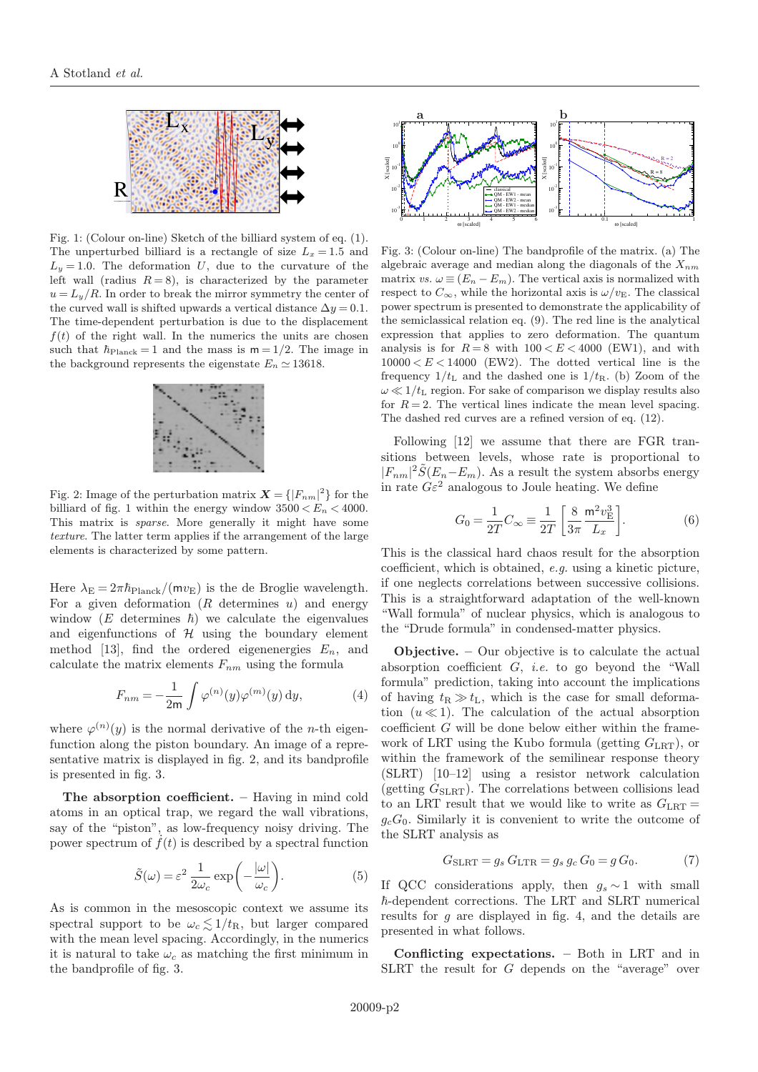

Fig. 1: (Colour on-line) Sketch of the billiard system of eq. (1). The unperturbed billiard is a rectangle of size  $L_x = 1.5$  and  $L_y = 1.0$ . The deformation U, due to the curvature of the left wall (radius  $R = 8$ ), is characterized by the parameter  $u = L_y/R$ . In order to break the mirror symmetry the center of the curved wall is shifted upwards a vertical distance  $\Delta y = 0.1$ . The time-dependent perturbation is due to the displacement  $f(t)$  of the right wall. In the numerics the units are chosen such that  $\hbar_{\text{Planck}} = 1$  and the mass is  $m = 1/2$ . The image in the background represents the eigenstate  $E_n \simeq 13618$ .



Fig. 2: Image of the perturbation matrix  $\mathbf{X} = \{ |F_{nm}|^2 \}$  for the billiard of fig. 1 within the energy window  $3500 < E_n < 4000$ . This matrix is sparse. More generally it might have some texture. The latter term applies if the arrangement of the large elements is characterized by some pattern.

Here  $\lambda_{\rm E} = 2\pi \hbar_{\rm Planck}/(m v_{\rm E})$  is the de Broglie wavelength. For a given deformation  $(R$  determines  $u$ ) and energy window  $(E$  determines  $\hbar$ ) we calculate the eigenvalues and eigenfunctions of  $H$  using the boundary element method [13], find the ordered eigenenergies  $E_n$ , and calculate the matrix elements  $F_{nm}$  using the formula

$$
F_{nm} = -\frac{1}{2m} \int \varphi^{(n)}(y) \varphi^{(m)}(y) dy, \qquad (4)
$$

where  $\varphi^{(n)}(y)$  is the normal derivative of the *n*-th eigenfunction along the piston boundary. An image of a representative matrix is displayed in fig. 2, and its bandprofile is presented in fig. 3.

The absorption coefficient. – Having in mind cold atoms in an optical trap, we regard the wall vibrations, say of the "piston", as low-frequency noisy driving. The power spectrum of  $\dot{f}(t)$  is described by a spectral function

$$
\tilde{S}(\omega) = \varepsilon^2 \frac{1}{2\omega_c} \exp\left(-\frac{|\omega|}{\omega_c}\right). \tag{5}
$$

As is common in the mesoscopic context we assume its spectral support to be  $\omega_c \lesssim 1/t_R$ , but larger compared with the mean level spacing. Accordingly, in the numerics it is natural to take  $\omega_c$  as matching the first minimum in the bandprofile of fig. 3.



Fig. 3: (Colour on-line) The bandprofile of the matrix. (a) The algebraic average and median along the diagonals of the  $X_{nm}$ matrix vs.  $\omega \equiv (E_n - E_m)$ . The vertical axis is normalized with respect to  $C_{\infty}$ , while the horizontal axis is  $\omega/v_{\rm E}$ . The classical power spectrum is presented to demonstrate the applicability of the semiclassical relation eq. (9). The red line is the analytical expression that applies to zero deformation. The quantum analysis is for  $R = 8$  with  $100 < E < 4000$  (EW1), and with  $10000 < E < 14000$  (EW2). The dotted vertical line is the frequency  $1/t_L$  and the dashed one is  $1/t_R$ . (b) Zoom of the  $\omega \ll 1/t_L$  region. For sake of comparison we display results also for  $R = 2$ . The vertical lines indicate the mean level spacing. The dashed red curves are a refined version of eq. (12).

Following [12] we assume that there are FGR transitions between levels, whose rate is proportional to  $|F_{nm}|^2 \tilde{S}(E_n - E_m)$ . As a result the system absorbs energy in rate  $G\varepsilon^2$  analogous to Joule heating. We define

$$
G_0 = \frac{1}{2T} C_{\infty} \equiv \frac{1}{2T} \left[ \frac{8}{3\pi} \frac{m^2 v_{\rm E}^3}{L_x} \right].
$$
 (6)

This is the classical hard chaos result for the absorption coefficient, which is obtained, e.g. using a kinetic picture, if one neglects correlations between successive collisions. This is a straightforward adaptation of the well-known "Wall formula" of nuclear physics, which is analogous to the "Drude formula" in condensed-matter physics.

Objective. – Our objective is to calculate the actual absorption coefficient  $G$ , *i.e.* to go beyond the "Wall formula" prediction, taking into account the implications of having  $t_R \gg t_L$ , which is the case for small deformation  $(u \ll 1)$ . The calculation of the actual absorption coefficient G will be done below either within the framework of LRT using the Kubo formula (getting  $G_{\text{LRT}}$ ), or within the framework of the semilinear response theory (SLRT) [10–12] using a resistor network calculation (getting  $G_{\text{SLRT}}$ ). The correlations between collisions lead to an LRT result that we would like to write as  $G_{LRT} =$  $q_cG_0$ . Similarly it is convenient to write the outcome of the SLRT analysis as

$$
G_{\text{SLRT}} = g_s G_{\text{LTR}} = g_s g_c G_0 = g G_0. \tag{7}
$$

If QCC considerations apply, then  $g_s \sim 1$  with small  $\hbar$ -dependent corrections. The LRT and SLRT numerical results for g are displayed in fig. 4, and the details are presented in what follows.

Conflicting expectations. – Both in LRT and in SLRT the result for G depends on the "average" over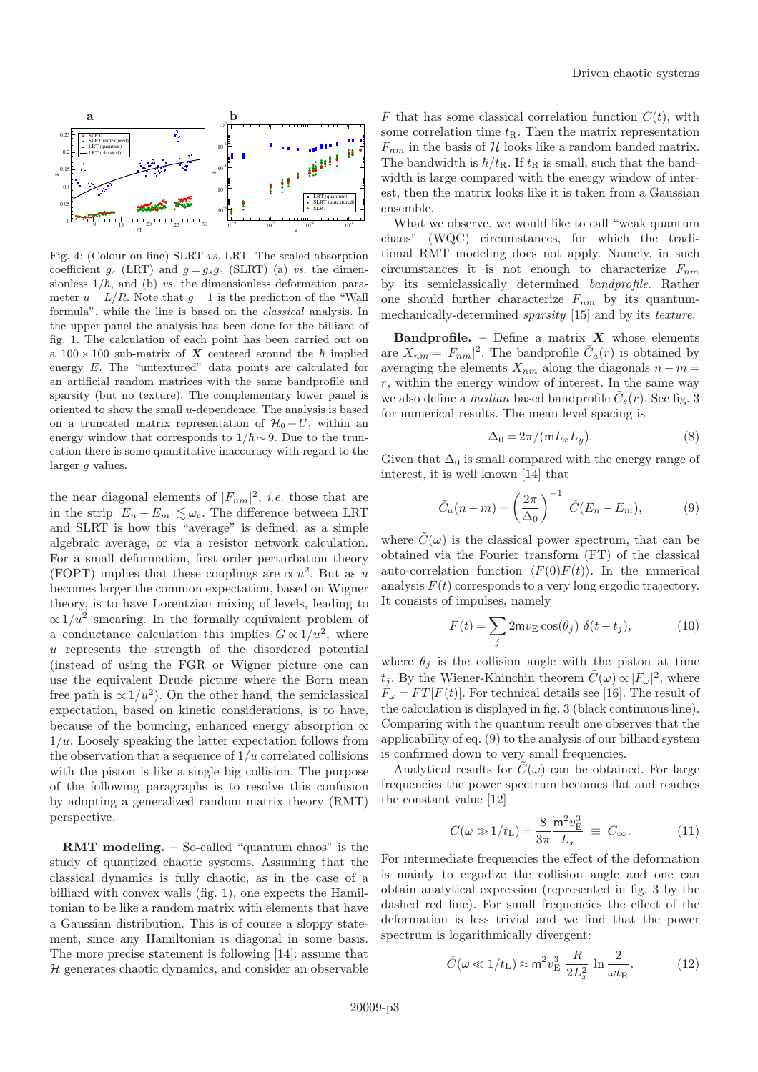

Fig. 4: (Colour on-line) SLRT vs. LRT. The scaled absorption coefficient  $g_c$  (LRT) and  $g = g_s g_c$  (SLRT) (a) vs. the dimensionless  $1/\hbar$ , and (b) vs. the dimensionless deformation parameter  $u = L/R$ . Note that  $g = 1$  is the prediction of the "Wall" formula", while the line is based on the classical analysis. In the upper panel the analysis has been done for the billiard of fig. 1. The calculation of each point has been carried out on a  $100 \times 100$  sub-matrix of X centered around the  $\hbar$  implied energy E. The "untextured" data points are calculated for an artificial random matrices with the same bandprofile and sparsity (but no texture). The complementary lower panel is oriented to show the small u-dependence. The analysis is based on a truncated matrix representation of  $\mathcal{H}_0 + U$ , within an energy window that corresponds to  $1/\hbar \sim 9$ . Due to the truncation there is some quantitative inaccuracy with regard to the larger g values.

the near diagonal elements of  $|F_{nm}|^2$ , *i.e.* those that are in the strip  $|E_n - E_m| \lesssim \omega_c$ . The difference between LRT and SLRT is how this "average" is defined: as a simple algebraic average, or via a resistor network calculation. For a small deformation, first order perturbation theory (FOPT) implies that these couplings are  $\propto u^2$ . But as u becomes larger the common expectation, based on Wigner theory, is to have Lorentzian mixing of levels, leading to  $\propto 1/u^2$  smearing. In the formally equivalent problem of a conductance calculation this implies  $G \propto 1/u^2$ , where u represents the strength of the disordered potential (instead of using the FGR or Wigner picture one can use the equivalent Drude picture where the Born mean free path is  $\propto 1/u^2$ ). On the other hand, the semiclassical expectation, based on kinetic considerations, is to have, because of the bouncing, enhanced energy absorption  $\alpha$  $1/u$ . Loosely speaking the latter expectation follows from the observation that a sequence of  $1/u$  correlated collisions with the piston is like a single big collision. The purpose of the following paragraphs is to resolve this confusion by adopting a generalized random matrix theory (RMT) perspective.

RMT modeling. – So-called "quantum chaos" is the study of quantized chaotic systems. Assuming that the classical dynamics is fully chaotic, as in the case of a billiard with convex walls (fig. 1), one expects the Hamiltonian to be like a random matrix with elements that have a Gaussian distribution. This is of course a sloppy statement, since any Hamiltonian is diagonal in some basis. The more precise statement is following [14]: assume that  $H$  generates chaotic dynamics, and consider an observable

F that has some classical correlation function  $C(t)$ , with some correlation time  $t_{\rm R}$ . Then the matrix representation  $F_{nm}$  in the basis of H looks like a random banded matrix. The bandwidth is  $\hbar/t_{\rm R}$ . If  $t_{\rm R}$  is small, such that the bandwidth is large compared with the energy window of interest, then the matrix looks like it is taken from a Gaussian ensemble.

What we observe, we would like to call "weak quantum chaos" (WQC) circumstances, for which the traditional RMT modeling does not apply. Namely, in such circumstances it is not enough to characterize  $F_{nm}$ by its semiclassically determined bandprofile. Rather one should further characterize  $F_{nm}$  by its quantummechanically-determined sparsity [15] and by its texture.

**Bandprofile.** – Define a matrix  $X$  whose elements are  $X_{nm} = |F_{nm}|^2$ . The bandprofile  $\overline{C}_a(r)$  is obtained by averaging the elements  $X_{nm}$  along the diagonals  $n - m =$  $r$ , within the energy window of interest. In the same way we also define a *median* based bandprofile  $\bar{C}_s(r)$ . See fig. 3 for numerical results. The mean level spacing is

$$
\Delta_0 = 2\pi / (m L_x L_y). \tag{8}
$$

Given that  $\Delta_0$  is small compared with the energy range of interest, it is well known [14] that

$$
\bar{C}_a(n-m) = \left(\frac{2\pi}{\Delta_0}\right)^{-1} \tilde{C}(E_n - E_m),\tag{9}
$$

where  $\tilde{C}(\omega)$  is the classical power spectrum, that can be obtained via the Fourier transform (FT) of the classical auto-correlation function  $\langle F(0)F(t)\rangle$ . In the numerical analysis  $F(t)$  corresponds to a very long ergodic trajectory. It consists of impulses, namely

$$
F(t) = \sum_{j} 2mv_{\rm E}\cos(\theta_j) \ \delta(t - t_j), \tag{10}
$$

where  $\theta_i$  is the collision angle with the piston at time  $t_j$ . By the Wiener-Khinchin theorem  $\tilde{C}(\omega) \propto |F_{\omega}|^2$ , where  $F_{\omega} = FT[F(t)]$ . For technical details see [16]. The result of the calculation is displayed in fig. 3 (black continuous line). Comparing with the quantum result one observes that the applicability of eq. (9) to the analysis of our billiard system is confirmed down to very small frequencies.

Analytical results for  $\tilde{C}(\omega)$  can be obtained. For large frequencies the power spectrum becomes flat and reaches the constant value [12]

$$
C(\omega \gg 1/t_{\rm L}) = \frac{8}{3\pi} \frac{{\rm m}^2 v_{\rm E}^3}{L_x} \equiv C_{\infty}.
$$
 (11)

For intermediate frequencies the effect of the deformation is mainly to ergodize the collision angle and one can obtain analytical expression (represented in fig. 3 by the dashed red line). For small frequencies the effect of the deformation is less trivial and we find that the power spectrum is logarithmically divergent:

$$
\tilde{C}(\omega \ll 1/t_{\rm L}) \approx \mathsf{m}^2 v_{\rm E}^3 \frac{R}{2L_x^2} \ln \frac{2}{\omega t_{\rm R}}.\tag{12}
$$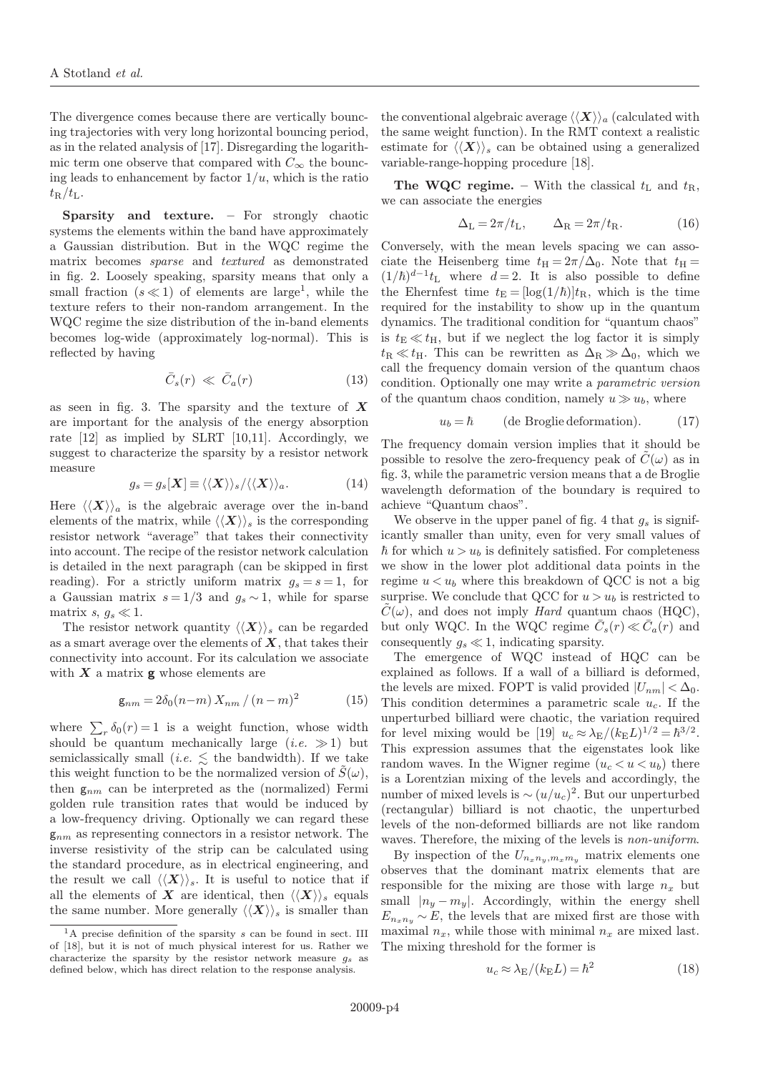The divergence comes because there are vertically bouncing trajectories with very long horizontal bouncing period, as in the related analysis of [17]. Disregarding the logarithmic term one observe that compared with  $C_{\infty}$  the bouncing leads to enhancement by factor  $1/u$ , which is the ratio  $t_{\rm R}/t_{\rm L}$ .

Sparsity and texture. – For strongly chaotic systems the elements within the band have approximately a Gaussian distribution. But in the WQC regime the matrix becomes sparse and textured as demonstrated in fig. 2. Loosely speaking, sparsity means that only a small fraction  $(s \ll 1)$  of elements are large<sup>1</sup>, while the texture refers to their non-random arrangement. In the WQC regime the size distribution of the in-band elements becomes log-wide (approximately log-normal). This is reflected by having

$$
\bar{C}_s(r) \ll \bar{C}_a(r) \tag{13}
$$

as seen in fig. 3. The sparsity and the texture of  $\boldsymbol{X}$ are important for the analysis of the energy absorption rate [12] as implied by SLRT [10,11]. Accordingly, we suggest to characterize the sparsity by a resistor network measure

$$
g_s = g_s[\mathbf{X}] \equiv \langle \langle \mathbf{X} \rangle \rangle_s / \langle \langle \mathbf{X} \rangle \rangle_a. \tag{14}
$$

Here  $\langle \langle X \rangle \rangle_a$  is the algebraic average over the in-band elements of the matrix, while  $\langle \langle X \rangle \rangle_s$  is the corresponding resistor network "average" that takes their connectivity into account. The recipe of the resistor network calculation is detailed in the next paragraph (can be skipped in first reading). For a strictly uniform matrix  $q_s = s = 1$ , for a Gaussian matrix  $s = 1/3$  and  $g_s \sim 1$ , while for sparse matrix s,  $g_s \ll 1$ .

The resistor network quantity  $\langle \langle X \rangle \rangle_s$  can be regarded as a smart average over the elements of  $X$ , that takes their connectivity into account. For its calculation we associate with  $X$  a matrix  $g$  whose elements are

$$
\mathsf{g}_{nm} = 2\delta_0(n-m) \, X_{nm} \, / \, (n-m)^2 \tag{15}
$$

where  $\sum_{r} \delta_0(r) = 1$  is a weight function, whose width should be quantum mechanically large  $(i.e. \gg 1)$  but semiclassically small (*i.e.*  $\lesssim$  the bandwidth). If we take this weight function to be the normalized version of  $\tilde{S}(\omega)$ , then  $g_{nm}$  can be interpreted as the (normalized) Fermi golden rule transition rates that would be induced by a low-frequency driving. Optionally we can regard these  $g_{nm}$  as representing connectors in a resistor network. The inverse resistivity of the strip can be calculated using the standard procedure, as in electrical engineering, and the result we call  $\langle \langle X \rangle \rangle_s$ . It is useful to notice that if all the elements of X are identical, then  $\langle\langle X\rangle\rangle$  equals the same number. More generally  $\langle \langle X \rangle \rangle_s$  is smaller than the conventional algebraic average  $\langle \langle X \rangle \rangle_a$  (calculated with the same weight function). In the RMT context a realistic estimate for  $\langle \langle X \rangle \rangle_s$  can be obtained using a generalized variable-range-hopping procedure [18].

The WQC regime. – With the classical  $t_L$  and  $t_R$ , we can associate the energies

$$
\Delta_{\rm L} = 2\pi / t_{\rm L}, \qquad \Delta_{\rm R} = 2\pi / t_{\rm R}.
$$
 (16)

Conversely, with the mean levels spacing we can associate the Heisenberg time  $t_{\text{H}} = 2\pi/\Delta_0$ . Note that  $t_{\text{H}} =$  $(1/\hbar)^{d-1}t_L$  where  $d=2$ . It is also possible to define the Ehernfest time  $t_E = [\log(1/\hbar)]t_R$ , which is the time required for the instability to show up in the quantum dynamics. The traditional condition for "quantum chaos" is  $t_{\text{E}} \ll t_{\text{H}}$ , but if we neglect the log factor it is simply  $t_{\rm R} \ll t_{\rm H}$ . This can be rewritten as  $\Delta_{\rm R} \gg \Delta_0$ , which we call the frequency domain version of the quantum chaos condition. Optionally one may write a parametric version of the quantum chaos condition, namely  $u \gg u_b$ , where

$$
u_b = \hbar \qquad \text{(de Broglie deformation)}.\tag{17}
$$

The frequency domain version implies that it should be possible to resolve the zero-frequency peak of  $C(\omega)$  as in fig. 3, while the parametric version means that a de Broglie wavelength deformation of the boundary is required to achieve "Quantum chaos".

We observe in the upper panel of fig. 4 that  $g_s$  is significantly smaller than unity, even for very small values of  $\hbar$  for which  $u > u_b$  is definitely satisfied. For completeness we show in the lower plot additional data points in the regime  $u < u<sub>b</sub>$  where this breakdown of QCC is not a big surprise. We conclude that QCC for  $u>u<sub>b</sub>$  is restricted to  $\hat{C}(\omega)$ , and does not imply *Hard* quantum chaos (HQC), but only WQC. In the WQC regime  $\overline{C}_s(r) \ll \overline{C}_a(r)$  and consequently  $g_s \ll 1$ , indicating sparsity.

The emergence of WQC instead of HQC can be explained as follows. If a wall of a billiard is deformed, the levels are mixed. FOPT is valid provided  $|U_{nm}| < \Delta_0$ . This condition determines a parametric scale  $u_c$ . If the unperturbed billiard were chaotic, the variation required for level mixing would be [19]  $u_c \approx \lambda_E/(k_E L)^{1/2} = \hbar^{3/2}$ . This expression assumes that the eigenstates look like random waves. In the Wigner regime  $(u_c < u < u_b)$  there is a Lorentzian mixing of the levels and accordingly, the number of mixed levels is  $\sim (u/u_c)^2$ . But our unperturbed (rectangular) billiard is not chaotic, the unperturbed levels of the non-deformed billiards are not like random waves. Therefore, the mixing of the levels is *non-uniform*.

By inspection of the  $U_{n_xn_y,m_xm_y}$  matrix elements one observes that the dominant matrix elements that are responsible for the mixing are those with large  $n_x$  but small  $|n_y - m_y|$ . Accordingly, within the energy shell  $E_{n_x n_y} \sim E$ , the levels that are mixed first are those with maximal  $n_x$ , while those with minimal  $n_x$  are mixed last. The mixing threshold for the former is

$$
u_c \approx \lambda_E / (k_E L) = \hbar^2 \tag{18}
$$

 $1A$  precise definition of the sparsity s can be found in sect. III of [18], but it is not of much physical interest for us. Rather we characterize the sparsity by the resistor network measure  $q_s$  as defined below, which has direct relation to the response analysis.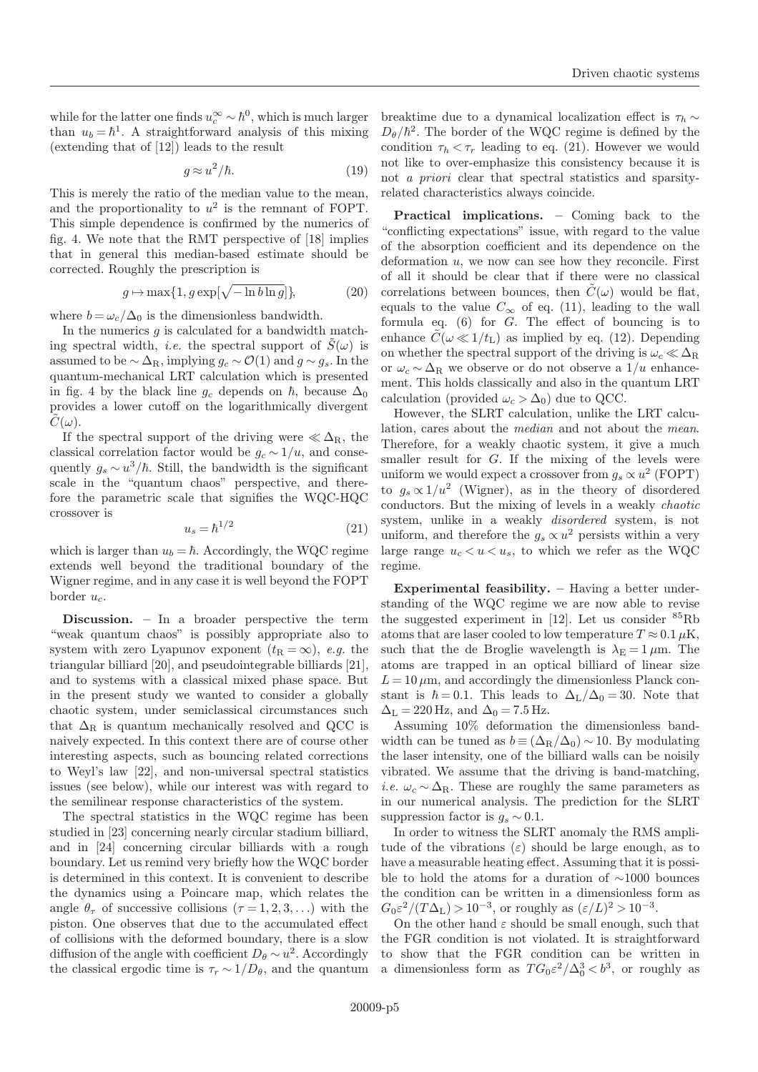while for the latter one finds  $u_c^{\infty} \sim \hbar^0$ , which is much larger than  $u_b = \hbar^1$ . A straightforward analysis of this mixing (extending that of [12]) leads to the result

$$
g \approx u^2/\hbar. \tag{19}
$$

This is merely the ratio of the median value to the mean, and the proportionality to  $u^2$  is the remnant of FOPT. This simple dependence is confirmed by the numerics of fig. 4. We note that the RMT perspective of [18] implies that in general this median-based estimate should be corrected. Roughly the prescription is

$$
g \mapsto \max\{1, g \exp[\sqrt{-\ln b \ln g}]\},\tag{20}
$$

where  $b = \omega_c/\Delta_0$  is the dimensionless bandwidth.

In the numerics  $g$  is calculated for a bandwidth matching spectral width, *i.e.* the spectral support of  $S(\omega)$  is assumed to be  $\sim \Delta_{\rm R}$ , implying  $g_c \sim \mathcal{O}(1)$  and  $g \sim g_s$ . In the quantum-mechanical LRT calculation which is presented in fig. 4 by the black line  $g_c$  depends on  $\hbar$ , because  $\Delta_0$ provides a lower cutoff on the logarithmically divergent  $C(\omega)$ .

If the spectral support of the driving were  $\ll \Delta_{\rm R}$ , the classical correlation factor would be  $g_c \sim 1/u$ , and consequently  $g_s \sim u^3/\hbar$ . Still, the bandwidth is the significant scale in the "quantum chaos" perspective, and therefore the parametric scale that signifies the WQC-HQC crossover is

$$
u_s = \hbar^{1/2} \tag{21}
$$

which is larger than  $u_b = \hbar$ . Accordingly, the WQC regime extends well beyond the traditional boundary of the Wigner regime, and in any case it is well beyond the FOPT border  $u_c$ .

Discussion. – In a broader perspective the term "weak quantum chaos" is possibly appropriate also to system with zero Lyapunov exponent  $(t_R = \infty)$ , e.g. the triangular billiard [20], and pseudointegrable billiards [21], and to systems with a classical mixed phase space. But in the present study we wanted to consider a globally chaotic system, under semiclassical circumstances such that  $\Delta_R$  is quantum mechanically resolved and QCC is naively expected. In this context there are of course other interesting aspects, such as bouncing related corrections to Weyl's law [22], and non-universal spectral statistics issues (see below), while our interest was with regard to the semilinear response characteristics of the system.

The spectral statistics in the WQC regime has been studied in [23] concerning nearly circular stadium billiard, and in [24] concerning circular billiards with a rough boundary. Let us remind very briefly how the WQC border is determined in this context. It is convenient to describe the dynamics using a Poincare map, which relates the angle  $\theta_{\tau}$  of successive collisions  $(\tau = 1, 2, 3, ...)$  with the piston. One observes that due to the accumulated effect of collisions with the deformed boundary, there is a slow diffusion of the angle with coefficient  $D_{\theta} \sim u^2$ . Accordingly the classical ergodic time is  $\tau_r \sim 1/D_\theta$ , and the quantum breaktime due to a dynamical localization effect is  $\tau_h \sim$  $D_{\theta}/\hbar^2$ . The border of the WQC regime is defined by the condition  $\tau_h < \tau_r$  leading to eq. (21). However we would not like to over-emphasize this consistency because it is not a priori clear that spectral statistics and sparsityrelated characteristics always coincide.

Practical implications. – Coming back to the "conflicting expectations" issue, with regard to the value of the absorption coefficient and its dependence on the deformation  $u$ , we now can see how they reconcile. First of all it should be clear that if there were no classical correlations between bounces, then  $\tilde{C}(\omega)$  would be flat, equals to the value  $C_{\infty}$  of eq. (11), leading to the wall formula eq.  $(6)$  for  $G$ . The effect of bouncing is to enhance  $C(\omega \ll 1/t_{\rm L})$  as implied by eq. (12). Depending on whether the spectral support of the driving is  $\omega_c \ll \Delta_R$ or  $\omega_c \sim \Delta_R$  we observe or do not observe a  $1/u$  enhancement. This holds classically and also in the quantum LRT calculation (provided  $\omega_c > \Delta_0$ ) due to QCC.

However, the SLRT calculation, unlike the LRT calculation, cares about the median and not about the mean. Therefore, for a weakly chaotic system, it give a much smaller result for G. If the mixing of the levels were uniform we would expect a crossover from  $g_s \propto u^2$  (FOPT) to  $g_s \propto 1/u^2$  (Wigner), as in the theory of disordered conductors. But the mixing of levels in a weakly chaotic system, unlike in a weakly disordered system, is not uniform, and therefore the  $g_s \propto u^2$  persists within a very large range  $u_c < u < u_s$ , to which we refer as the WQC regime.

Experimental feasibility. – Having a better understanding of the WQC regime we are now able to revise the suggested experiment in [12]. Let us consider  ${}^{85}Rb$ atoms that are laser cooled to low temperature  $T \approx 0.1 \,\mu\text{K}$ , such that the de Broglie wavelength is  $\lambda_E = 1 \mu m$ . The atoms are trapped in an optical billiard of linear size  $L = 10 \,\mu\text{m}$ , and accordingly the dimensionless Planck constant is  $\hbar = 0.1$ . This leads to  $\Delta_{\rm L}/\Delta_0 = 30$ . Note that  $\Delta_{\rm L}$  = 220 Hz, and  $\Delta_0$  = 7.5 Hz.

Assuming 10% deformation the dimensionless bandwidth can be tuned as  $b \equiv (\Delta_R/\Delta_0) \sim 10$ . By modulating the laser intensity, one of the billiard walls can be noisily vibrated. We assume that the driving is band-matching, *i.e.*  $\omega_c \sim \Delta_R$ . These are roughly the same parameters as in our numerical analysis. The prediction for the SLRT suppression factor is  $q_s \sim 0.1$ .

In order to witness the SLRT anomaly the RMS amplitude of the vibrations  $(\varepsilon)$  should be large enough, as to have a measurable heating effect. Assuming that it is possible to hold the atoms for a duration of ∼1000 bounces the condition can be written in a dimensionless form as  $G_0 \varepsilon^2 / (T \Delta_L) > 10^{-3}$ , or roughly as  $(\varepsilon / L)^2 > 10^{-3}$ .

On the other hand  $\varepsilon$  should be small enough, such that the FGR condition is not violated. It is straightforward to show that the FGR condition can be written in a dimensionless form as  $TG_0\varepsilon^2/\Delta_0^3 < b^3$ , or roughly as